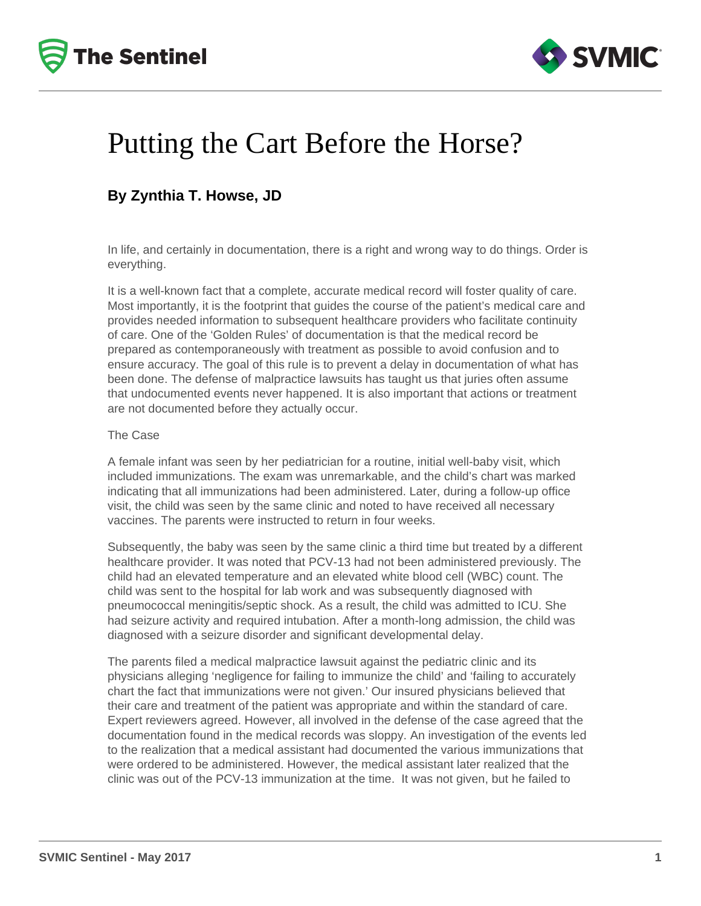



## Putting the Cart Before the Horse?

### **By Zynthia T. Howse, JD**

In life, and certainly in documentation, there is a right and wrong way to do things. Order is everything.

It is a well-known fact that a complete, accurate medical record will foster quality of care. Most importantly, it is the footprint that guides the course of the patient's medical care and provides needed information to subsequent healthcare providers who facilitate continuity of care. One of the 'Golden Rules' of documentation is that the medical record be prepared as contemporaneously with treatment as possible to avoid confusion and to ensure accuracy. The goal of this rule is to prevent a delay in documentation of what has been done. The defense of malpractice lawsuits has taught us that juries often assume that undocumented events never happened. It is also important that actions or treatment are not documented before they actually occur.

#### The Case

A female infant was seen by her pediatrician for a routine, initial well-baby visit, which included immunizations. The exam was unremarkable, and the child's chart was marked indicating that all immunizations had been administered. Later, during a follow-up office visit, the child was seen by the same clinic and noted to have received all necessary vaccines. The parents were instructed to return in four weeks.

Subsequently, the baby was seen by the same clinic a third time but treated by a different healthcare provider. It was noted that PCV-13 had not been administered previously. The child had an elevated temperature and an elevated white blood cell (WBC) count. The child was sent to the hospital for lab work and was subsequently diagnosed with pneumococcal meningitis/septic shock. As a result, the child was admitted to ICU. She had seizure activity and required intubation. After a month-long admission, the child was diagnosed with a seizure disorder and significant developmental delay.

The parents filed a medical malpractice lawsuit against the pediatric clinic and its physicians alleging 'negligence for failing to immunize the child' and 'failing to accurately chart the fact that immunizations were not given.' Our insured physicians believed that their care and treatment of the patient was appropriate and within the standard of care. Expert reviewers agreed. However, all involved in the defense of the case agreed that the documentation found in the medical records was sloppy. An investigation of the events led to the realization that a medical assistant had documented the various immunizations that were ordered to be administered. However, the medical assistant later realized that the clinic was out of the PCV-13 immunization at the time. It was not given, but he failed to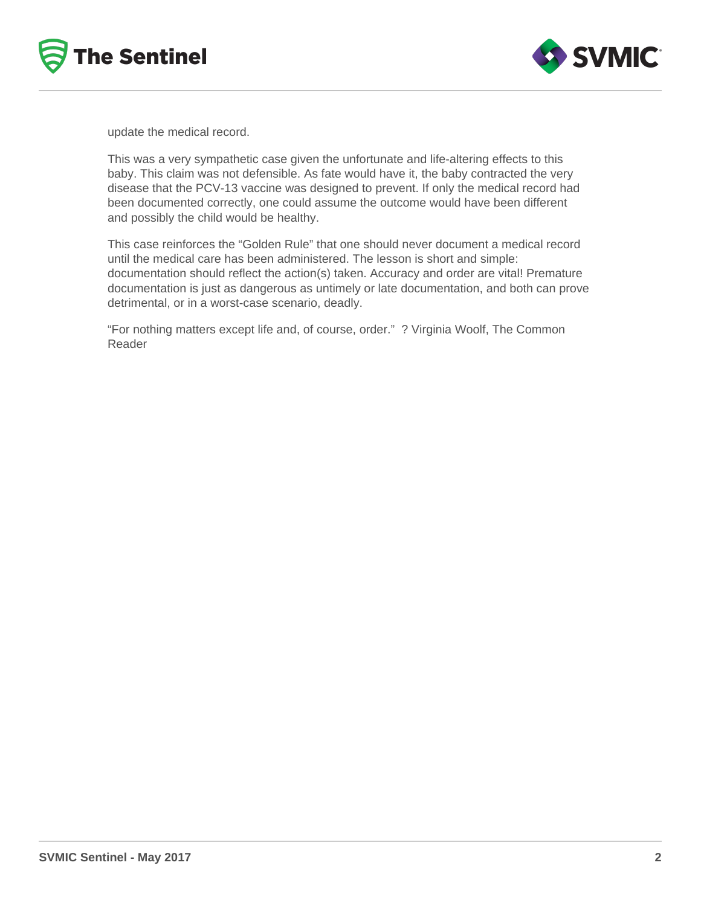



update the medical record.

This was a very sympathetic case given the unfortunate and life-altering effects to this baby. This claim was not defensible. As fate would have it, the baby contracted the very disease that the PCV-13 vaccine was designed to prevent. If only the medical record had been documented correctly, one could assume the outcome would have been different and possibly the child would be healthy.

This case reinforces the "Golden Rule" that one should never document a medical record until the medical care has been administered. The lesson is short and simple: documentation should reflect the action(s) taken. Accuracy and order are vital! Premature documentation is just as dangerous as untimely or late documentation, and both can prove detrimental, or in a worst-case scenario, deadly.

"For nothing matters except life and, of course, order." ? Virginia Woolf, The Common Reader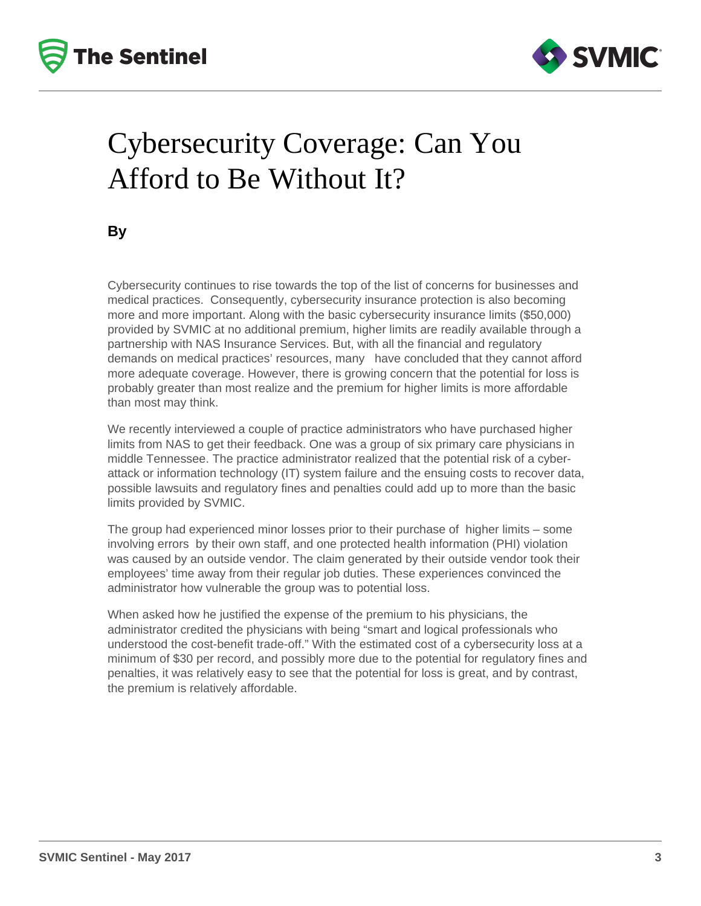



## Cybersecurity Coverage: Can You Afford to Be Without It?

**By**

Cybersecurity continues to rise towards the top of the list of concerns for businesses and medical practices. Consequently, cybersecurity insurance protection is also becoming more and more important. Along with the basic cybersecurity insurance limits (\$50,000) provided by SVMIC at no additional premium, higher limits are readily available through a partnership with NAS Insurance Services. But, with all the financial and regulatory demands on medical practices' resources, many have concluded that they cannot afford more adequate coverage. However, there is growing concern that the potential for loss is probably greater than most realize and the premium for higher limits is more affordable than most may think.

We recently interviewed a couple of practice administrators who have purchased higher limits from NAS to get their feedback. One was a group of six primary care physicians in middle Tennessee. The practice administrator realized that the potential risk of a cyberattack or information technology (IT) system failure and the ensuing costs to recover data, possible lawsuits and regulatory fines and penalties could add up to more than the basic limits provided by SVMIC.

The group had experienced minor losses prior to their purchase of higher limits – some involving errors by their own staff, and one protected health information (PHI) violation was caused by an outside vendor. The claim generated by their outside vendor took their employees' time away from their regular job duties. These experiences convinced the administrator how vulnerable the group was to potential loss.

When asked how he justified the expense of the premium to his physicians, the administrator credited the physicians with being "smart and logical professionals who understood the cost-benefit trade-off." With the estimated cost of a cybersecurity loss at a minimum of \$30 per record, and possibly more due to the potential for regulatory fines and penalties, it was relatively easy to see that the potential for loss is great, and by contrast, the premium is relatively affordable.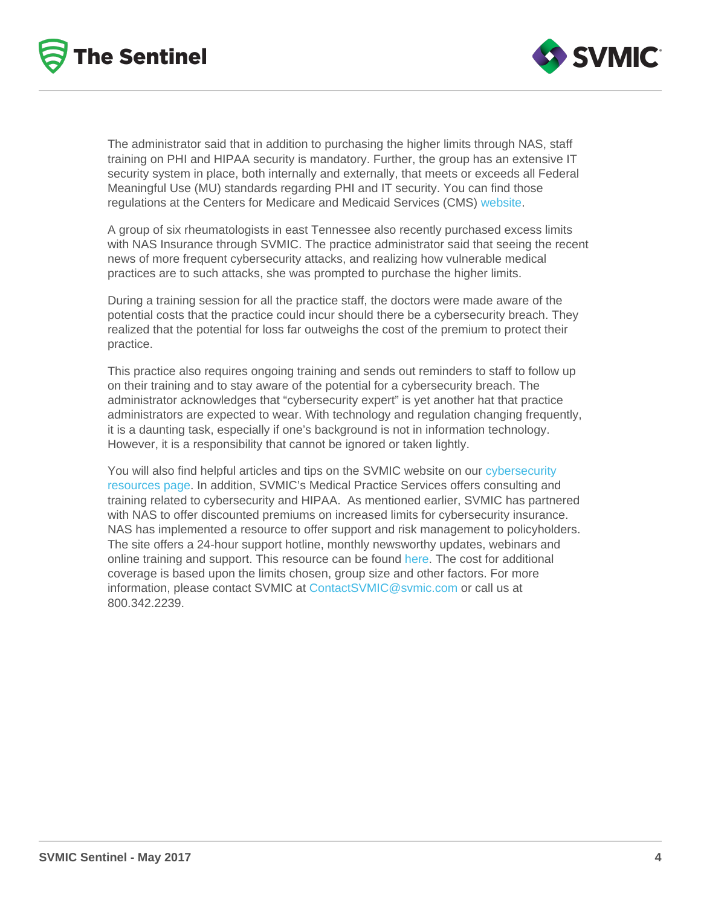The administrator said that in addition to purchasing the higher limits through NAS, staff training on PHI and HIPAA security is mandatory. Further, the group has an extensive IT security system in place, both internally and externally, that meets or exceeds all Federal Meaningful Use (MU) standards regarding PHI and IT security. You can find those regulations at the Centers for Medicare and Medicaid Services (CMS) [website.](https://www.cms.gov/Regulations-and-Guidance/Legislation/EHRIncentivePrograms/downloads/EP-MU-TOC.pdf)

A group of six rheumatologists in east Tennessee also recently purchased excess limits with NAS Insurance through SVMIC. The practice administrator said that seeing the recent news of more frequent cybersecurity attacks, and realizing how vulnerable medical practices are to such attacks, she was prompted to purchase the higher limits.

During a training session for all the practice staff, the doctors were made aware of the potential costs that the practice could incur should there be a cybersecurity breach. They realized that the potential for loss far outweighs the cost of the premium to protect their practice.

This practice also requires ongoing training and sends out reminders to staff to follow up on their training and to stay aware of the potential for a cybersecurity breach. The administrator acknowledges that "cybersecurity expert" is yet another hat that practice administrators are expected to wear. With technology and regulation changing frequently, it is a daunting task, especially if one's background is not in information technology. However, it is a responsibility that cannot be ignored or taken lightly.

You will also find helpful articles and tips on the SVMIC website on our [cybersecurity](http://www.svmic.com/resources)  [resources page](http://www.svmic.com/resources). In addition, SVMIC's Medical Practice Services offers consulting and training related to cybersecurity and HIPAA. As mentioned earlier, SVMIC has partnered with NAS to offer discounted premiums on increased limits for cybersecurity insurance. NAS has implemented a resource to offer support and risk management to policyholders. The site offers a 24-hour support hotline, monthly newsworthy updates, webinars and online training and support. This resource can be found [here.](http://www.nasinsurance.com/solutions/detail_product/cybernet) The cost for additional coverage is based upon the limits chosen, group size and other factors. For more information, please contact SVMIC at [ContactSVMIC@svmic.com](mailto:ContactSVMIC@svmic.com) or call us at 800.342.2239.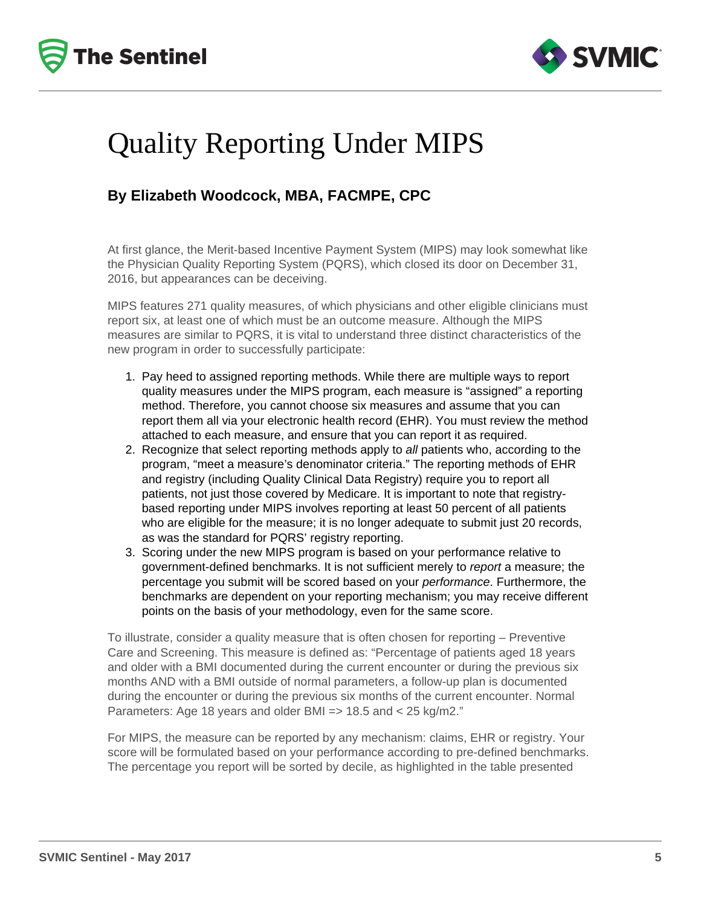



## Quality Reporting Under MIPS

### **By Elizabeth Woodcock, MBA, FACMPE, CPC**

At first glance, the Merit-based Incentive Payment System (MIPS) may look somewhat like the Physician Quality Reporting System (PQRS), which closed its door on December 31, 2016, but appearances can be deceiving.

MIPS features 271 quality measures, of which physicians and other eligible clinicians must report six, at least one of which must be an outcome measure. Although the MIPS measures are similar to PQRS, it is vital to understand three distinct characteristics of the new program in order to successfully participate:

- 1. Pay heed to assigned reporting methods. While there are multiple ways to report quality measures under the MIPS program, each measure is "assigned" a reporting method. Therefore, you cannot choose six measures and assume that you can report them all via your electronic health record (EHR). You must review the method attached to each measure, and ensure that you can report it as required.
- 2. Recognize that select reporting methods apply to all patients who, according to the program, "meet a measure's denominator criteria." The reporting methods of EHR and registry (including Quality Clinical Data Registry) require you to report all patients, not just those covered by Medicare. It is important to note that registrybased reporting under MIPS involves reporting at least 50 percent of all patients who are eligible for the measure; it is no longer adequate to submit just 20 records, as was the standard for PQRS' registry reporting.
- 3. Scoring under the new MIPS program is based on your performance relative to government-defined benchmarks. It is not sufficient merely to report a measure; the percentage you submit will be scored based on your performance. Furthermore, the benchmarks are dependent on your reporting mechanism; you may receive different points on the basis of your methodology, even for the same score.

To illustrate, consider a quality measure that is often chosen for reporting – Preventive Care and Screening. This measure is defined as: "Percentage of patients aged 18 years and older with a BMI documented during the current encounter or during the previous six months AND with a BMI outside of normal parameters, a follow-up plan is documented during the encounter or during the previous six months of the current encounter. Normal Parameters: Age 18 years and older BMI => 18.5 and < 25 kg/m2."

For MIPS, the measure can be reported by any mechanism: claims, EHR or registry. Your score will be formulated based on your performance according to pre-defined benchmarks. The percentage you report will be sorted by decile, as highlighted in the table presented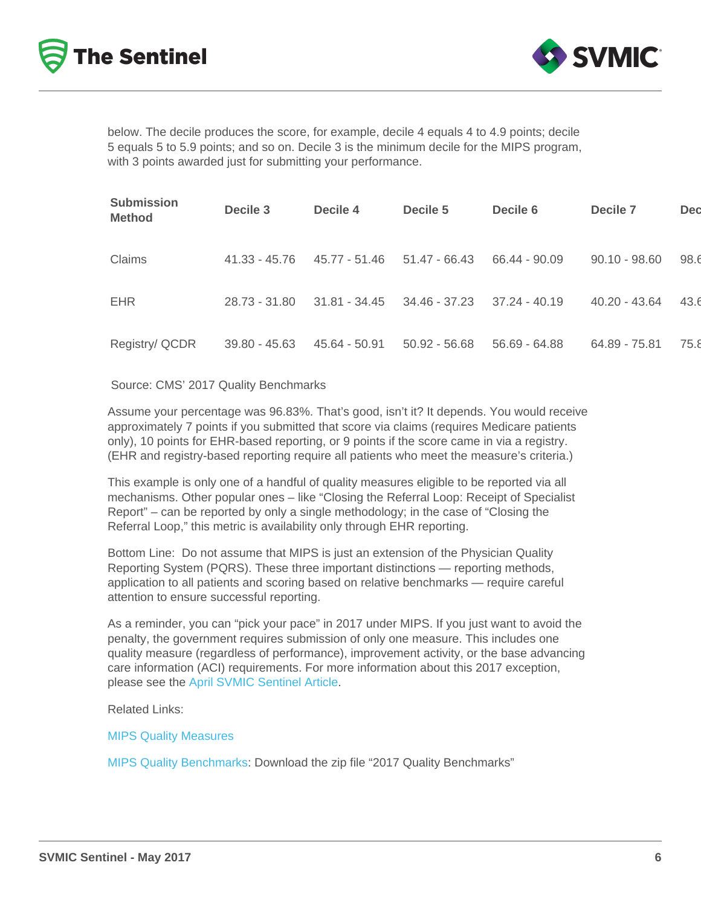below. The decile produces the score, for example, decile 4 equals 4 to 4.9 points; decile 5 equals 5 to 5.9 points; and so on. Decile 3 is the minimum decile for the MIPS program, with 3 points awarded just for submitting your performance.

| Submission<br>Method | Decile 3        | Decile 4        | Decile 5        | Decile 6        | Decile 7        | Dec  |
|----------------------|-----------------|-----------------|-----------------|-----------------|-----------------|------|
| Claims               | 41.33 - 45.76   | 45.77 - 51.46   | $51.47 - 66.43$ | 66.44 - 90.09   | $90.10 - 98.60$ | 98.6 |
| <b>EHR</b>           | 28.73 - 31.80   | $31.81 - 34.45$ | 34.46 - 37.23   | $37.24 - 40.19$ | 40.20 - 43.64   | 43.6 |
| Registry/ QCDR       | $39.80 - 45.63$ | 45.64 - 50.91   | $50.92 - 56.68$ | $56.69 - 64.88$ | 64.89 - 75.81   | 75.8 |

#### Source: CMS' 2017 Quality Benchmarks

Assume your percentage was 96.83%. That's good, isn't it? It depends. You would receive approximately 7 points if you submitted that score via claims (requires Medicare patients only), 10 points for EHR-based reporting, or 9 points if the score came in via a registry. (EHR and registry-based reporting require all patients who meet the measure's criteria.)

This example is only one of a handful of quality measures eligible to be reported via all mechanisms. Other popular ones – like "Closing the Referral Loop: Receipt of Specialist Report" – can be reported by only a single methodology; in the case of "Closing the Referral Loop," this metric is availability only through EHR reporting.

Bottom Line: Do not assume that MIPS is just an extension of the Physician Quality Reporting System (PQRS). These three important distinctions — reporting methods, application to all patients and scoring based on relative benchmarks — require careful attention to ensure successful reporting.

As a reminder, you can "pick your pace" in 2017 under MIPS. If you just want to avoid the penalty, the government requires submission of only one measure. This includes one quality measure (regardless of performance), improvement activity, or the base advancing care information (ACI) requirements. For more information about this 2017 exception, please see the [April SVMIC Sentinel Article](http://www.svmic.com/Home/resources/newsletters-2/the-svmic-sentinel/practice-management/meaningful-use-avoiding-the-3-penalty-in-2018-april-2017/).

Related Links:

[MIPS Quality Measures](https://qpp.cms.gov/measures/quality)

[MIPS Quality Benchmarks:](https://qpp.cms.gov/resources/education) Download the zip file "2017 Quality Benchmarks"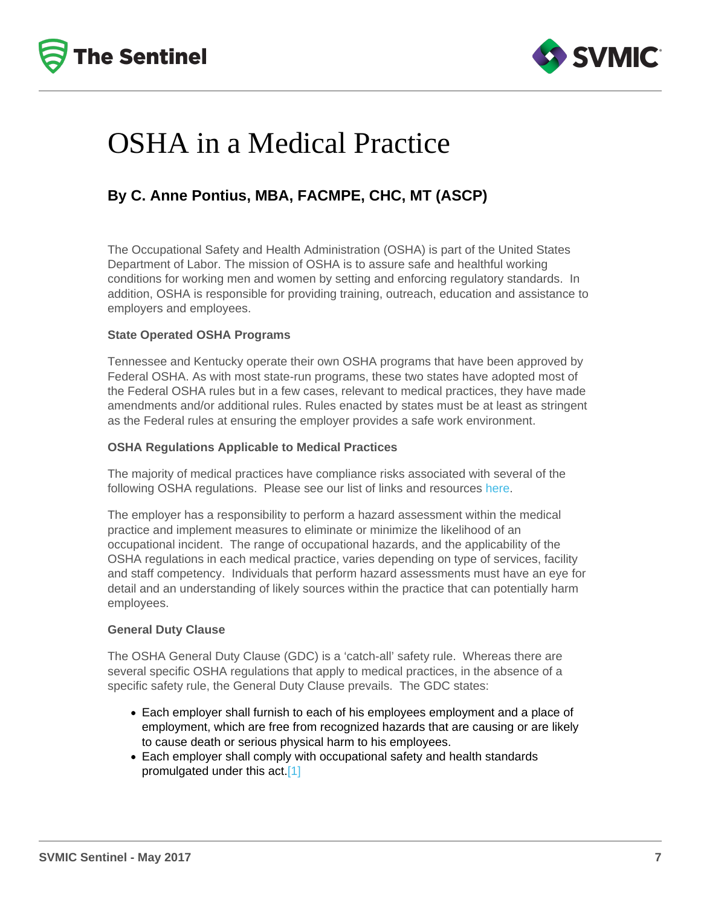## OSHA in a Medical Practice

### By C. Anne Pontius, MBA, FACMPE, CHC, MT (ASCP)

The Occupational Safety and Health Administration (OSHA) is part of the United States Department of Labor. The mission of OSHA is to assure safe and healthful working conditions for working men and women by setting and enforcing regulatory standards. In addition, OSHA is responsible for providing training, outreach, education and assistance to employers and employees.

#### State Operated OSHA Programs

Tennessee and Kentucky operate their own OSHA programs that have been approved by Federal OSHA. As with most state-run programs, these two states have adopted most of the Federal OSHA rules but in a few cases, relevant to medical practices, they have made amendments and/or additional rules. Rules enacted by states must be at least as stringent as the Federal rules at ensuring the employer provides a safe work environment.

#### OSHA Regulations Applicable to Medical Practices

The majority of medical practices have compliance risks associated with several of the following OSHA regulations. Please see our list of links and resources [here](https://www.svmic.com/Home/resources/practice-management-resources/osha/).

The employer has a responsibility to perform a hazard assessment within the medical practice and implement measures to eliminate or minimize the likelihood of an occupational incident. The range of occupational hazards, and the applicability of the OSHA regulations in each medical practice, varies depending on type of services, facility and staff competency. Individuals that perform hazard assessments must have an eye for detail and an understanding of likely sources within the practice that can potentially harm employees.

#### General Duty Clause

The OSHA General Duty Clause (GDC) is a 'catch-all' safety rule. Whereas there are several specific OSHA regulations that apply to medical practices, in the absence of a specific safety rule, the General Duty Clause prevails. The GDC states:

- Each employer shall furnish to each of his employees employment and a place of employment, which are free from recognized hazards that are causing or are likely to cause death or serious physical harm to his employees.
- Each employer shall comply with occupational safety and health standards promulgated under this act[.\[1\]](https://www.svmic.com/Home/resources/newsletters-2/the-svmic-sentinel/practice-management/osha-in-a-medical-practice-may-2017/#_edn1)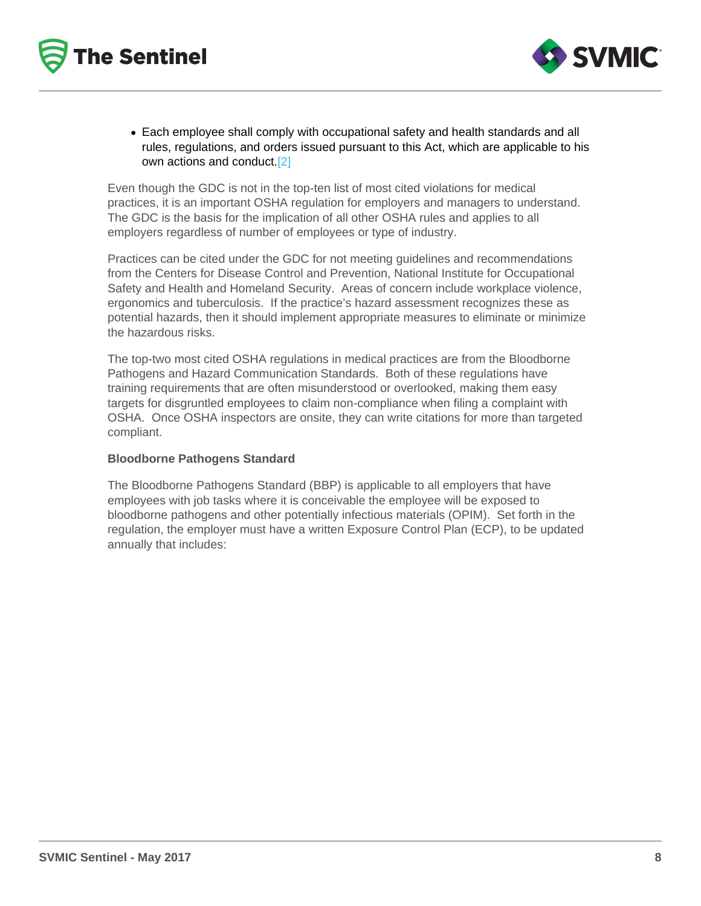Each employee shall comply with occupational safety and health standards and all rules, regulations, and orders issued pursuant to this Act, which are applicable to his own actions and conduct[.\[2\]](https://www.svmic.com/Home/resources/newsletters-2/the-svmic-sentinel/practice-management/osha-in-a-medical-practice-may-2017/#_edn2)

Even though the GDC is not in the top-ten list of most cited violations for medical practices, it is an important OSHA regulation for employers and managers to understand. The GDC is the basis for the implication of all other OSHA rules and applies to all employers regardless of number of employees or type of industry.

Practices can be cited under the GDC for not meeting guidelines and recommendations from the Centers for Disease Control and Prevention, National Institute for Occupational Safety and Health and Homeland Security. Areas of concern include workplace violence, ergonomics and tuberculosis. If the practice's hazard assessment recognizes these as potential hazards, then it should implement appropriate measures to eliminate or minimize the hazardous risks.

The top-two most cited OSHA regulations in medical practices are from the Bloodborne Pathogens and Hazard Communication Standards. Both of these regulations have training requirements that are often misunderstood or overlooked, making them easy targets for disgruntled employees to claim non-compliance when filing a complaint with OSHA. Once OSHA inspectors are onsite, they can write citations for more than targeted compliant.

#### Bloodborne Pathogens Standard

The Bloodborne Pathogens Standard (BBP) is applicable to all employers that have employees with job tasks where it is conceivable the employee will be exposed to bloodborne pathogens and other potentially infectious materials (OPIM). Set forth in the regulation, the employer must have a written Exposure Control Plan (ECP), to be updated annually that includes: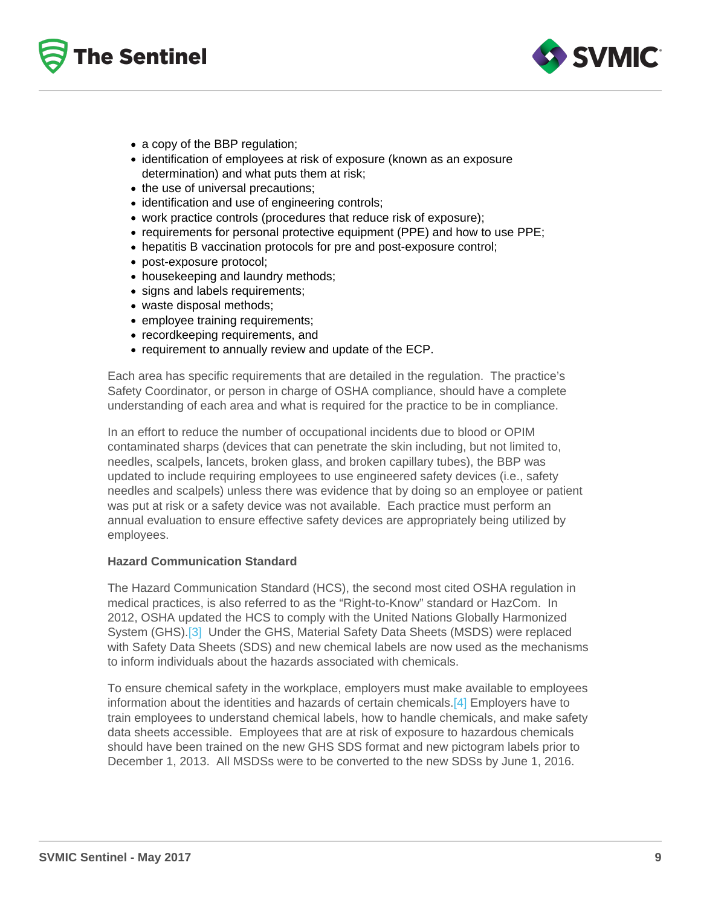- a copy of the BBP regulation;
- identification of employees at risk of exposure (known as an exposure determination) and what puts them at risk;
- the use of universal precautions;
- identification and use of engineering controls;
- work practice controls (procedures that reduce risk of exposure);
- requirements for personal protective equipment (PPE) and how to use PPE;
- hepatitis B vaccination protocols for pre and post-exposure control;
- post-exposure protocol;
- housekeeping and laundry methods;
- signs and labels requirements;
- waste disposal methods;
- employee training requirements;
- recordkeeping requirements, and
- requirement to annually review and update of the ECP.

Each area has specific requirements that are detailed in the regulation. The practice's Safety Coordinator, or person in charge of OSHA compliance, should have a complete understanding of each area and what is required for the practice to be in compliance.

In an effort to reduce the number of occupational incidents due to blood or OPIM contaminated sharps (devices that can penetrate the skin including, but not limited to, needles, scalpels, lancets, broken glass, and broken capillary tubes), the BBP was updated to include requiring employees to use engineered safety devices (i.e., safety needles and scalpels) unless there was evidence that by doing so an employee or patient was put at risk or a safety device was not available. Each practice must perform an annual evaluation to ensure effective safety devices are appropriately being utilized by employees.

#### Hazard Communication Standard

The Hazard Communication Standard (HCS), the second most cited OSHA regulation in medical practices, is also referred to as the "Right-to-Know" standard or HazCom. In 2012, OSHA updated the HCS to comply with the United Nations Globally Harmonized System (GHS).[\[3\]](https://www.svmic.com/Home/resources/newsletters-2/the-svmic-sentinel/practice-management/osha-in-a-medical-practice-may-2017/#_edn3) Under the GHS, Material Safety Data Sheets (MSDS) were replaced with Safety Data Sheets (SDS) and new chemical labels are now used as the mechanisms to inform individuals about the hazards associated with chemicals.

To ensure chemical safety in the workplace, employers must make available to employees information about the identities and hazards of certain chemicals[.\[4\]](https://www.svmic.com/Home/resources/newsletters-2/the-svmic-sentinel/practice-management/osha-in-a-medical-practice-may-2017/#_edn4) Employers have to train employees to understand chemical labels, how to handle chemicals, and make safety data sheets accessible. Employees that are at risk of exposure to hazardous chemicals should have been trained on the new GHS SDS format and new pictogram labels prior to December 1, 2013. All MSDSs were to be converted to the new SDSs by June 1, 2016.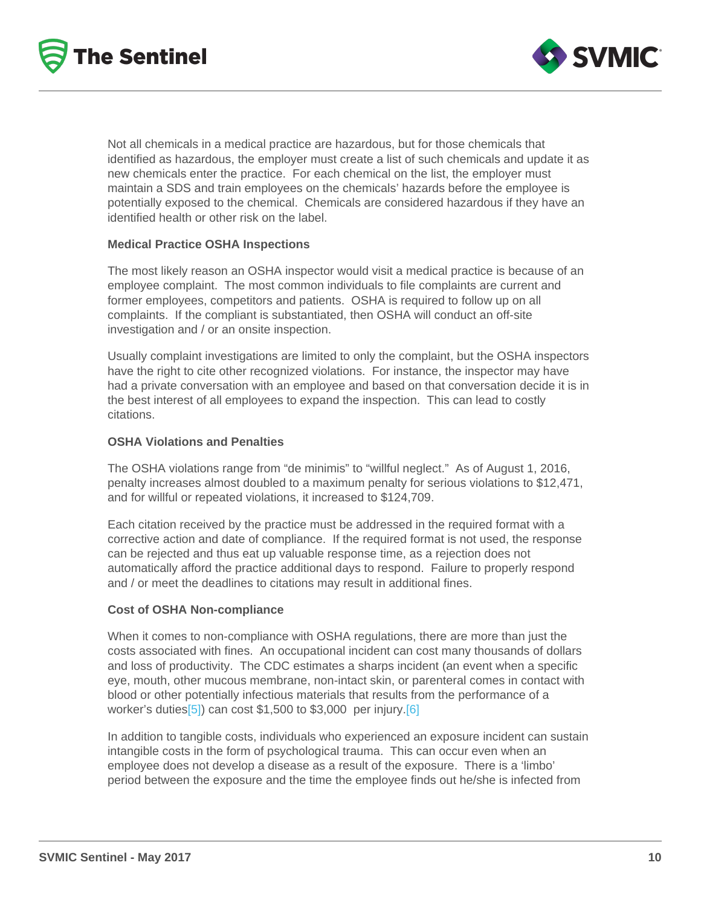Not all chemicals in a medical practice are hazardous, but for those chemicals that identified as hazardous, the employer must create a list of such chemicals and update it as new chemicals enter the practice. For each chemical on the list, the employer must maintain a SDS and train employees on the chemicals' hazards before the employee is potentially exposed to the chemical. Chemicals are considered hazardous if they have an identified health or other risk on the label.

#### Medical Practice OSHA Inspections

The most likely reason an OSHA inspector would visit a medical practice is because of an employee complaint. The most common individuals to file complaints are current and former employees, competitors and patients. OSHA is required to follow up on all complaints. If the compliant is substantiated, then OSHA will conduct an off-site investigation and / or an onsite inspection.

Usually complaint investigations are limited to only the complaint, but the OSHA inspectors have the right to cite other recognized violations. For instance, the inspector may have had a private conversation with an employee and based on that conversation decide it is in the best interest of all employees to expand the inspection. This can lead to costly citations.

#### OSHA Violations and Penalties

The OSHA violations range from "de minimis" to "willful neglect." As of August 1, 2016, penalty increases almost doubled to a maximum penalty for serious violations to \$12,471, and for willful or repeated violations, it increased to \$124,709.

Each citation received by the practice must be addressed in the required format with a corrective action and date of compliance. If the required format is not used, the response can be rejected and thus eat up valuable response time, as a rejection does not automatically afford the practice additional days to respond. Failure to properly respond and / or meet the deadlines to citations may result in additional fines.

#### Cost of OSHA Non-compliance

When it comes to non-compliance with OSHA regulations, there are more than just the costs associated with fines. An occupational incident can cost many thousands of dollars and loss of productivity. The CDC estimates a sharps incident (an event when a specific eye, mouth, other mucous membrane, non-intact skin, or parenteral comes in contact with blood or other potentially infectious materials that results from the performance of a worker's duties $[5]$ ) can cost \$1,500 to \$3,000 per injury. $[6]$ 

In addition to tangible costs, individuals who experienced an exposure incident can sustain intangible costs in the form of psychological trauma. This can occur even when an employee does not develop a disease as a result of the exposure. There is a 'limbo' period between the exposure and the time the employee finds out he/she is infected from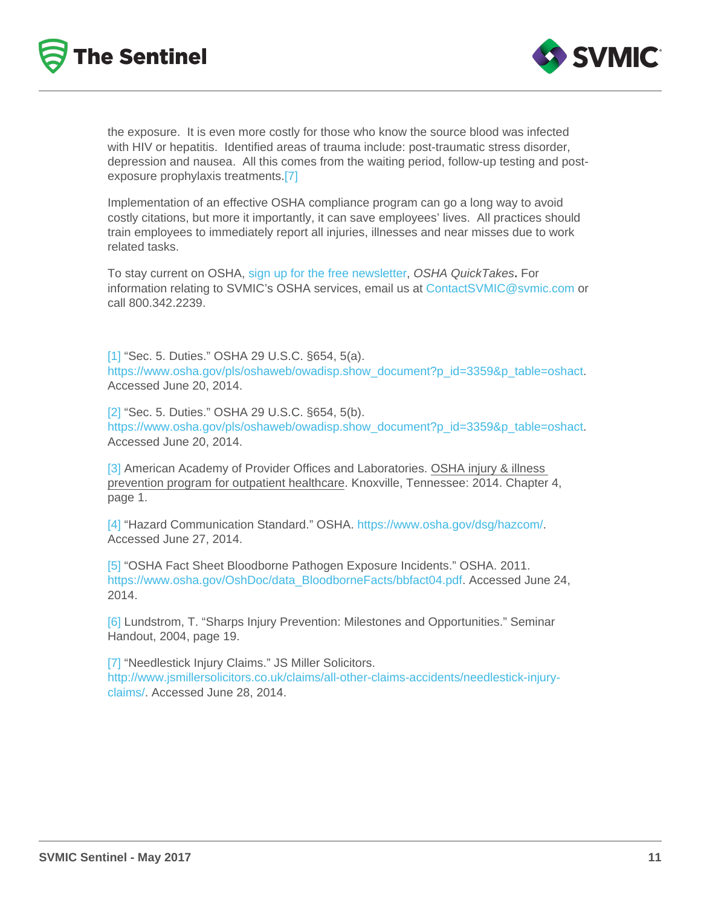the exposure. It is even more costly for those who know the source blood was infected with HIV or hepatitis. Identified areas of trauma include: post-traumatic stress disorder, depression and nausea. All this comes from the waiting period, follow-up testing and postexposure prophylaxis treatments.[\[7\]](https://www.svmic.com/Home/resources/newsletters-2/the-svmic-sentinel/practice-management/osha-in-a-medical-practice-may-2017/#_edn7)

Implementation of an effective OSHA compliance program can go a long way to avoid costly citations, but more it importantly, it can save employees' lives. All practices should train employees to immediately report all injuries, illnesses and near misses due to work related tasks.

To stay current on OSHA, [sign up for the free newsletter](https://www.osha.gov/as/opa/quicktakes/qtpostcard.html), OSHA QuickTakes. For information relating to SVMIC's OSHA services, email us at [ContactSVMIC@svmic.com](mailto:ContactSVMIC@svmic.com) or call 800.342.2239.

[\[1\]](https://www.svmic.com/Home/resources/newsletters-2/the-svmic-sentinel/practice-management/osha-in-a-medical-practice-may-2017/#_ednref1) "Sec. 5. Duties." OSHA 29 U.S.C. §654, 5(a). [https://www.osha.gov/pls/oshaweb/owadisp.show\\_document?p\\_id=3359&p\\_table=oshact.](https://www.osha.gov/pls/oshaweb/owadisp.show_document?p_id=3359&p_table=oshact) Accessed June 20, 2014.

[\[2\]](https://www.svmic.com/Home/resources/newsletters-2/the-svmic-sentinel/practice-management/osha-in-a-medical-practice-may-2017/#_ednref2) "Sec. 5. Duties." OSHA 29 U.S.C. §654, 5(b). [https://www.osha.gov/pls/oshaweb/owadisp.show\\_document?p\\_id=3359&p\\_table=oshact.](https://www.osha.gov/pls/oshaweb/owadisp.show_document?p_id=3359&p_table=oshact) Accessed June 20, 2014.

[\[3\]](https://www.svmic.com/Home/resources/newsletters-2/the-svmic-sentinel/practice-management/osha-in-a-medical-practice-may-2017/#_ednref3) American Academy of Provider Offices and Laboratories. OSHA injury & illness prevention program for outpatient healthcare. Knoxville, Tennessee: 2014. Chapter 4, page 1.

[\[4\]](https://www.svmic.com/Home/resources/newsletters-2/the-svmic-sentinel/practice-management/osha-in-a-medical-practice-may-2017/#_ednref4) "Hazard Communication Standard." OSHA.<https://www.osha.gov/dsg/hazcom/>. Accessed June 27, 2014.

[\[5\]](https://www.svmic.com/Home/resources/newsletters-2/the-svmic-sentinel/practice-management/osha-in-a-medical-practice-may-2017/#_ednref5) "OSHA Fact Sheet Bloodborne Pathogen Exposure Incidents." OSHA. 2011. [https://www.osha.gov/OshDoc/data\\_BloodborneFacts/bbfact04.pdf.](https://www.osha.gov/OshDoc/data_BloodborneFacts/bbfact04.pdf) Accessed June 24, 2014.

[\[6\]](https://www.svmic.com/Home/resources/newsletters-2/the-svmic-sentinel/practice-management/osha-in-a-medical-practice-may-2017/#_ednref6) Lundstrom, T. "Sharps Injury Prevention: Milestones and Opportunities." Seminar Handout, 2004, page 19.

[\[7\]](https://www.svmic.com/Home/resources/newsletters-2/the-svmic-sentinel/practice-management/osha-in-a-medical-practice-may-2017/#_ednref7) "Needlestick Injury Claims." JS Miller Solicitors. [http://www.jsmillersolicitors.co.uk/claims/all-other-claims-accidents/needlestick-injury](http://www.jsmillersolicitors.co.uk/claims/all-other-claims-accidents/needlestick-injury-claims/)[claims/.](http://www.jsmillersolicitors.co.uk/claims/all-other-claims-accidents/needlestick-injury-claims/) Accessed June 28, 2014.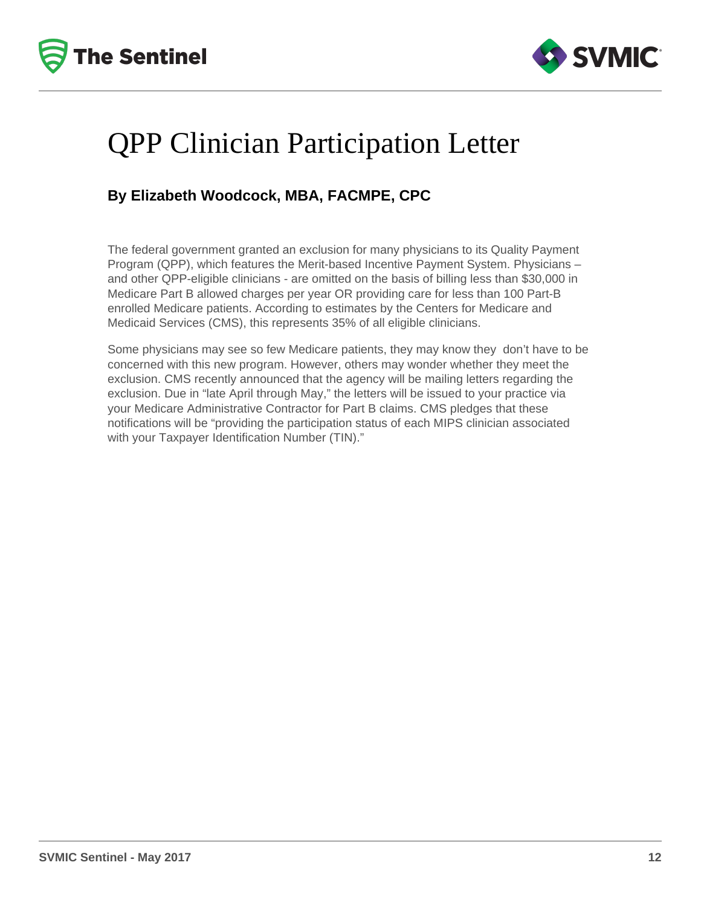



## QPP Clinician Participation Letter

### **By Elizabeth Woodcock, MBA, FACMPE, CPC**

The federal government granted an exclusion for many physicians to its Quality Payment Program (QPP), which features the Merit-based Incentive Payment System. Physicians – and other QPP-eligible clinicians - are omitted on the basis of billing less than \$30,000 in Medicare Part B allowed charges per year OR providing care for less than 100 Part-B enrolled Medicare patients. According to estimates by the Centers for Medicare and Medicaid Services (CMS), this represents 35% of all eligible clinicians.

Some physicians may see so few Medicare patients, they may know they don't have to be concerned with this new program. However, others may wonder whether they meet the exclusion. CMS recently announced that the agency will be mailing letters regarding the exclusion. Due in "late April through May," the letters will be issued to your practice via your Medicare Administrative Contractor for Part B claims. CMS pledges that these notifications will be "providing the participation status of each MIPS clinician associated with your Taxpayer Identification Number (TIN)."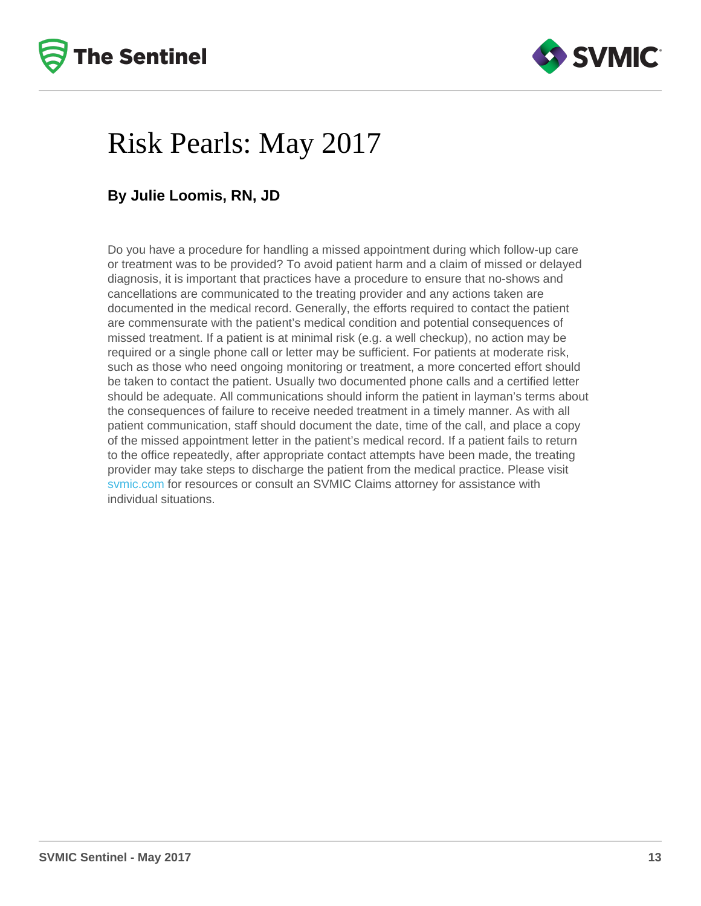# Risk Pearls: May 2017

### By Julie Loomis, RN, JD

Do you have a procedure for handling a missed appointment during which follow-up care or treatment was to be provided? To avoid patient harm and a claim of missed or delayed diagnosis, it is important that practices have a procedure to ensure that no-shows and cancellations are communicated to the treating provider and any actions taken are documented in the medical record. Generally, the efforts required to contact the patient are commensurate with the patient's medical condition and potential consequences of missed treatment. If a patient is at minimal risk (e.g. a well checkup), no action may be required or a single phone call or letter may be sufficient. For patients at moderate risk, such as those who need ongoing monitoring or treatment, a more concerted effort should be taken to contact the patient. Usually two documented phone calls and a certified letter should be adequate. All communications should inform the patient in layman's terms about the consequences of failure to receive needed treatment in a timely manner. As with all patient communication, staff should document the date, time of the call, and place a copy of the missed appointment letter in the patient's medical record. If a patient fails to return to the office repeatedly, after appropriate contact attempts have been made, the treating provider may take steps to discharge the patient from the medical practice. Please visit [svmic.com](https://www.svmic.com/Home/resources/) for resources or consult an SVMIC Claims attorney for assistance with individual situations.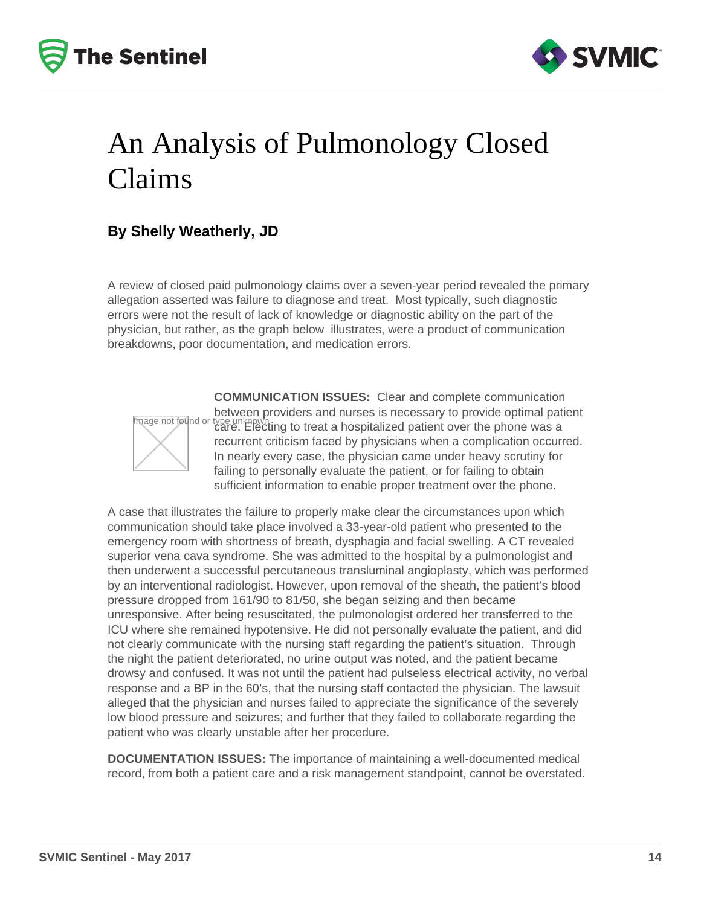



## An Analysis of Pulmonology Closed Claims

### **By Shelly Weatherly, JD**

A review of closed paid pulmonology claims over a seven-year period revealed the primary allegation asserted was failure to diagnose and treat. Most typically, such diagnostic errors were not the result of lack of knowledge or diagnostic ability on the part of the physician, but rather, as the graph below illustrates, were a product of communication breakdowns, poor documentation, and medication errors.



**COMMUNICATION ISSUES:** Clear and complete communication between providers and nurses is necessary to provide optimal patient type unknown<br>care. Electing to treat a hospitalized patient over the phone was a recurrent criticism faced by physicians when a complication occurred. In nearly every case, the physician came under heavy scrutiny for failing to personally evaluate the patient, or for failing to obtain sufficient information to enable proper treatment over the phone.

A case that illustrates the failure to properly make clear the circumstances upon which communication should take place involved a 33-year-old patient who presented to the emergency room with shortness of breath, dysphagia and facial swelling. A CT revealed superior vena cava syndrome. She was admitted to the hospital by a pulmonologist and then underwent a successful percutaneous transluminal angioplasty, which was performed by an interventional radiologist. However, upon removal of the sheath, the patient's blood pressure dropped from 161/90 to 81/50, she began seizing and then became unresponsive. After being resuscitated, the pulmonologist ordered her transferred to the ICU where she remained hypotensive. He did not personally evaluate the patient, and did not clearly communicate with the nursing staff regarding the patient's situation. Through the night the patient deteriorated, no urine output was noted, and the patient became drowsy and confused. It was not until the patient had pulseless electrical activity, no verbal response and a BP in the 60's, that the nursing staff contacted the physician. The lawsuit alleged that the physician and nurses failed to appreciate the significance of the severely low blood pressure and seizures; and further that they failed to collaborate regarding the patient who was clearly unstable after her procedure.

**DOCUMENTATION ISSUES:** The importance of maintaining a well-documented medical record, from both a patient care and a risk management standpoint, cannot be overstated.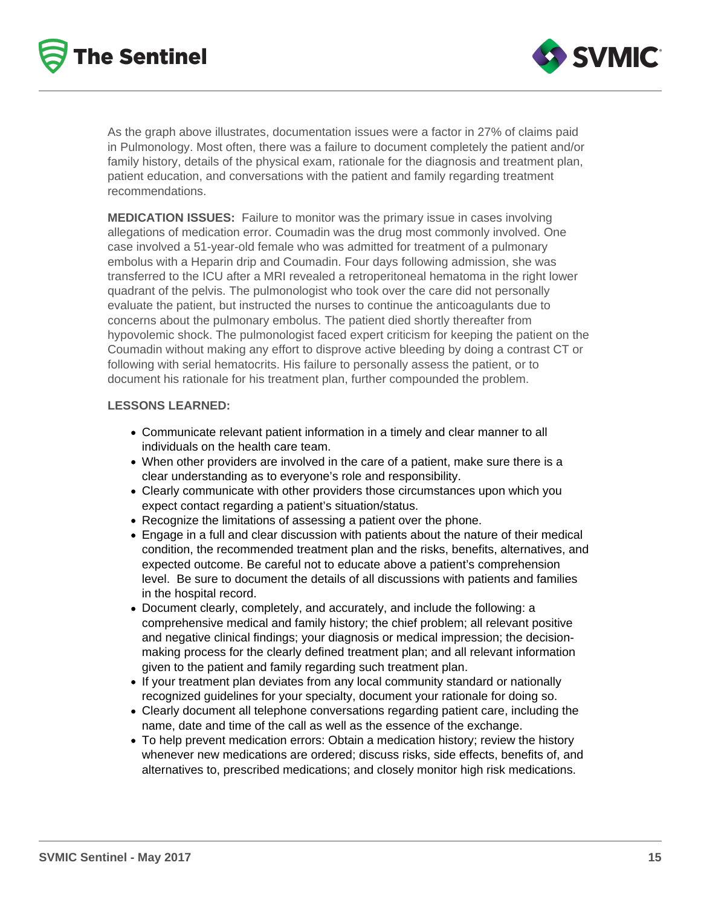



As the graph above illustrates, documentation issues were a factor in 27% of claims paid in Pulmonology. Most often, there was a failure to document completely the patient and/or family history, details of the physical exam, rationale for the diagnosis and treatment plan, patient education, and conversations with the patient and family regarding treatment recommendations.

**MEDICATION ISSUES:** Failure to monitor was the primary issue in cases involving allegations of medication error. Coumadin was the drug most commonly involved. One case involved a 51-year-old female who was admitted for treatment of a pulmonary embolus with a Heparin drip and Coumadin. Four days following admission, she was transferred to the ICU after a MRI revealed a retroperitoneal hematoma in the right lower quadrant of the pelvis. The pulmonologist who took over the care did not personally evaluate the patient, but instructed the nurses to continue the anticoagulants due to concerns about the pulmonary embolus. The patient died shortly thereafter from hypovolemic shock. The pulmonologist faced expert criticism for keeping the patient on the Coumadin without making any effort to disprove active bleeding by doing a contrast CT or following with serial hematocrits. His failure to personally assess the patient, or to document his rationale for his treatment plan, further compounded the problem.

#### **LESSONS LEARNED:**

- Communicate relevant patient information in a timely and clear manner to all individuals on the health care team.
- When other providers are involved in the care of a patient, make sure there is a clear understanding as to everyone's role and responsibility.
- Clearly communicate with other providers those circumstances upon which you expect contact regarding a patient's situation/status.
- Recognize the limitations of assessing a patient over the phone.
- Engage in a full and clear discussion with patients about the nature of their medical condition, the recommended treatment plan and the risks, benefits, alternatives, and expected outcome. Be careful not to educate above a patient's comprehension level. Be sure to document the details of all discussions with patients and families in the hospital record.
- Document clearly, completely, and accurately, and include the following: a comprehensive medical and family history; the chief problem; all relevant positive and negative clinical findings; your diagnosis or medical impression; the decisionmaking process for the clearly defined treatment plan; and all relevant information given to the patient and family regarding such treatment plan.
- If your treatment plan deviates from any local community standard or nationally recognized guidelines for your specialty, document your rationale for doing so.
- Clearly document all telephone conversations regarding patient care, including the name, date and time of the call as well as the essence of the exchange.
- To help prevent medication errors: Obtain a medication history; review the history whenever new medications are ordered; discuss risks, side effects, benefits of, and alternatives to, prescribed medications; and closely monitor high risk medications.